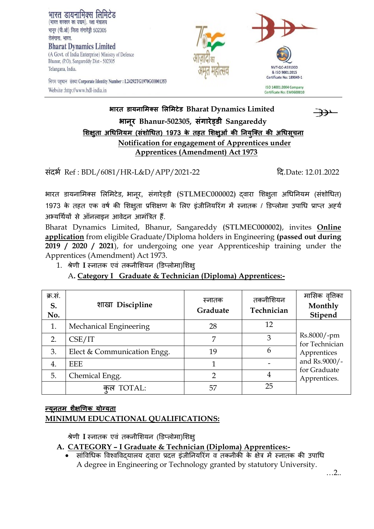

निगम पहचान संख्या Corporate Identity Number: L24292TG1970GOI001353 Website :http://www.bdl-india.in



# **भारत डायनामिक्स मिमिटेड Bharat Dynamics Limited भानूर Bhanur-502305, संगारेड्डी Sangareddy मिक्षुता अधिननयि (संिोधित) 1973 के तहत मिक्षुओं की ननयक्ुक्त की अधिसूचना Notification for engagement of Apprentices under Apprentices (Amendment) Act 1973**

संदर्भ Ref : BDL/6081/HR-L&D/APP/2021-22 दद.Date: 12.01.2022

भारत डायनामिक्स लिमिटेड, भानूर, संगारेड्डी (STLMEC000002) दवारा शिक्षुता अधिनियम (संशोधित) 1973 के तहत एक वर्ष की शिक्षुता प्रशिक्षण के लिए इंजीनियरिंग में स्नातक / डिप्लोमा उपाधि प्राप्त अर्ह्य अभ्यर्थियों से ऑनलाइन आवेदन आमंत्रित हैं.

Bharat Dynamics Limited, Bhanur, Sangareddy **(STLMEC000002)**, invites **Online application** from eligible Graduate/Diploma holders in Engineering **(passed out during 2019 / 2020 / 2021**), for undergoing one year Apprenticeship training under the Apprentices (Amendment) Act 1973.

1. श्रेणी **I** स्नातक एवं तकनीशियन (डिप्लोमा)शिक्ष्

### A**. Category I Graduate & Technician (Diploma) Apprentices:-**

| क्र.स.<br>S.<br>No. | शाखा Discipline             | स्नातक<br>Graduate | तकनीशियन<br>Technician | मासिक वृत्तिका<br>Monthly<br>Stipend                                                          |
|---------------------|-----------------------------|--------------------|------------------------|-----------------------------------------------------------------------------------------------|
|                     | Mechanical Engineering      | 28                 | 12                     | Rs.8000/-pm<br>for Technician<br>Apprentices<br>and Rs.9000/-<br>for Graduate<br>Apprentices. |
| 2.                  | CSE/IT                      | 7                  | 3                      |                                                                                               |
| 3.                  | Elect & Communication Engg. | 19                 | 6                      |                                                                                               |
| 4.                  | <b>EEE</b>                  |                    |                        |                                                                                               |
| 5.                  | Chemical Engg.              | ∍                  | 4                      |                                                                                               |
|                     | कल TOTAL:                   | 57                 | 25                     |                                                                                               |

### **न्यनू ति िक्षै णिक योग्यता MINIMUM EDUCATIONAL QUALIFICATIONS:**

श्रेणी I स्नातक एवं तकनीशियन (डिप्लोमा)शिक्ष

**A. CATEGORY – I Graduate & Technician (Diploma) Apprentices:-**

सांविधिक विश्वविदयालय दवारा प्रदत्त इंजीनियरिंग व तकनीकी के क्षेत्र में स्नातक की उपाधि A degree in Engineering or Technology granted by statutory University.

…2..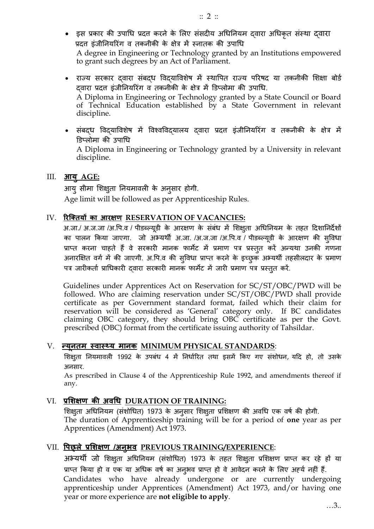- इस प्रकार की उपाधि प्रदत्त करने के लिए संसदीय अधिनियम दवारा अधिकृत संस्था दवारा प्रदत्त इंजीनियरिंग व तकनीकी के क्षेत्र में स्नातक की उपाधि A degree in Engineering or Technology granted by an Institutions empowered to grant such degrees by an Act of Parliament.
- राज्य सरकार दवारा संबद्ध विद्याविशेष में स्थापित राज्य परिषद या तकनीकी शिक्षा बोर्ड दवारा प्रदत्त इंजीनियरिंग व तकनीकी के क्षेत्र में डिप्लोमा की उपाधि. A Diploma in Engineering or Technology granted by a State Council or Board of Technical Education established by a State Government in relevant discipline.
- संबद्ध विदयाविशेष में विश्वविद्यालय दवारा प्रदत्त इंजीनियरिंग व तकनीकी के क्षेत्र में डिप्लोमा की उपाधि A Diploma in Engineering or Technology granted by a University in relevant discipline.

#### III. **आयुAGE:**

आयु सीमा शिक्षुता नियमावली के अनुसार होगी.

Age limit will be followed as per Apprenticeship Rules.

#### IV. **ररक्क्तयों का आरक्षि RESERVATION OF VACANCIES:**

अ.जा./ अ.ज.जा /अ.पि.व / पीडब्ल्यूडी के आरक्षण के संबंध में शिक्षुता अधिनियम के तहत दिशानिर्देशों का पालन किया जाएगा. जो अभ्यर्थी अ.जा. /अ.ज.जा /अ.पि.व / पीडब्ल्यूडी के आरक्षण की सुविधा प्राप्त करना चाहते हैं वे सरकारी मानक फार्मेट में प्रमाण पत्र प्रस्तुत करें अन्यथा उनकी गणना अनारक्षित वर्ग में की जाएगी. अ.पि.व की सुविधा प्राप्त करने के इच्छुक अभ्यर्थी तहसीलदार के प्रमाण पत्र जारीकर्ता प्राधिकारी दवारा सरकारी मानक फार्मेट में जारी प्रमाण पत्र प्रस्तुत करें.

Guidelines under Apprentices Act on Reservation for SC/ST/OBC/PWD will be followed. Who are claiming reservation under SC/ST/OBC/PWD shall provide certificate as per Government standard format, failed which their claim for reservation will be considered as 'General' category only. If BC candidates claiming OBC category, they should bring OBC certificate as per the Govt. prescribed (OBC) format from the certificate issuing authority of Tahsildar.

#### V. **न्यूनति स्वास््य िानक MINIMUM PHYSICAL STANDARDS**:

शिक्षुता नियमावली 1992 के उपबंध 4 में निर्धारित तथा इसमें किए गए संशोधन, यदि हो, तो उसके अनसार.

As prescribed in Clause 4 of the Apprenticeship Rule 1992, and amendments thereof if any.

#### VI. **प्रमिक्षि की अवधि DURATION OF TRAINING:**

शिक्षुता अधिनियम (संशोधित) 1973 के अनुसार शिक्षुता प्रशिक्षण की अवधि एक वर्ष की होगी. The duration of Apprenticeship training will be for a period of **one** year as per Apprentices (Amendment) Act 1973.

#### VII. **पिछ्िे प्रमिक्षि /अनुभव PREVIOUS TRAINING/EXPERIENCE**:

अभ्यर्थी जो शिक्षुता अधिनियम (संशोधित) 1973 के तहत शिक्षुता प्रशिक्षण प्राप्त कर रहे हों या प्राप्त किया हो व एक या अधिक वर्ष का अनुभव प्राप्त हो वे आवेदन करने के लिए अर्ह्य नहीं हैं. Candidates who have already undergone or are currently undergoing apprenticeship under Apprentices (Amendment) Act 1973, and/or having one year or more experience are **not eligible to apply**.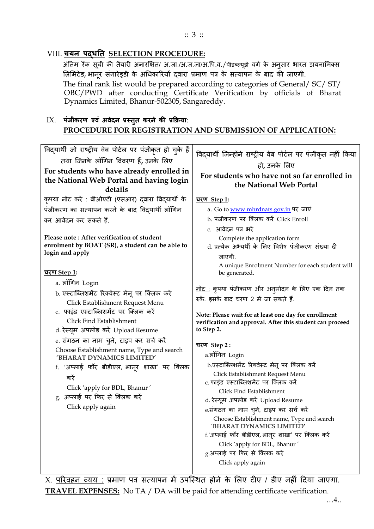#### :: 3 ::

### VIII. **चयन िद्िनत SELECTION PROCEDURE:**

अंतिम रैंक सूची की तैयारी अनारक्षित/ अ.जा./अ.ज.जा/अ.पि.व./पीडब्ल्यूडी वर्ग के अनुसार भारत डायनामिक्स लिमिटेड, भानूर संगारेड्डी के अधिकारियों दवारा प्रमाण पत्र के सत्यापन के बाद की जाएगी. The final rank list would be prepared according to categories of General/ SC/ ST/ OBC/PWD after conducting Certificate Verification by officials of Bharat Dynamics Limited, Bhanur-502305, Sangareddy.

### IX. **िंजीकरि एवं अवेदन प्रस्ततु करने की प्रक्रिया**: **PROCEDURE FOR REGISTRATION AND SUBMISSION OF APPLICATION:**

| पंजीकरण का सत्यापन करने के बाद विद्यार्थी लॉगिन<br>a. Go to www.mhrdnats.gov.in पर जाएं<br>b. पंजीकरण पर क्लिक करें Click Enroll<br>कर आवेदन कर सकते हैं.<br>c. आवेदन पत्र भरें<br>Please note: After verification of student<br>Complete the application form<br>enrolment by BOAT (SR), a student can be able to<br>d. प्रत्येक अभ्यर्थी के लिए विशेष पंजीकरण संख्या दी<br>login and apply<br>जाएगी.<br>A unique Enrolment Number for each student will<br><u>चरण Step 1</u> :<br>be generated.<br>a. लॉगिन Login<br><u>नोट :</u> कृपया पंजीकरण और अन् <b>मोदन के लिए एक दिन तक</b><br>b. एस्टाब्लिशमेंट रिक्वेस्ट मेनू पर क्लिक करें<br>रुकें. इसके बाद चरण 2 में जा सकते हैं.<br>Click Establishment Request Menu<br>c. फाइंड एस्टाब्लिशमेंट पर क्लिक करें<br>Note: Please wait for at least one day for enrollment<br>Click Find Establishment<br>verification and approval. After this student can proceed<br>d. रेस्यूम अपलोड करें Upload Resume<br>to Step 2.<br>e. संगठन का नाम चुने, टाइप कर सर्च करें<br><u>चरण Step 2:</u><br>Choose Establishment name, Type and search<br>a.लॉंगिन Login<br>'BHARAT DYNAMICS LIMITED'<br>b.एस्टाब्लिशमेंट रिक्वेस्ट मेनू पर क्लिक करें<br>f. 'अप्लाई फॉर बीडीएल, भानूर शाखा' पर क्लिक<br>Click Establishment Request Menu<br>करें<br>c. फाइंड एस्टाब्लिशमेंट पर क्लिक करें<br>Click 'apply for BDL, Bhanur'<br>Click Find Establishment<br>g. अप्लाई पर फिर से क्लिक करें<br>d. रेस्यूम अपलोड करें Upload Resume<br>Click apply again<br>e.संगठन का नाम चुने, टाइप कर सर्च करें<br>Choose Establishment name, Type and search<br>'BHARAT DYNAMICS LIMITED'<br>f.'अप्लाई फॉर बीडीएल, भानूर शाखा' पर क्लिक करें<br>Click 'apply for BDL, Bhanur'<br>g.अप्लाई पर फिर से क्लिक करें<br>Click apply again | विद्यार्थी जो राष्ट्रीय वेब पोर्टल पर पंजीकृत हो चुके हैं<br>तथा जिनके लॉगिन विवरण हैं, उनके लिए<br>For students who have already enrolled in<br>the National Web Portal and having login<br>details<br>कृपया नोट करें : बीओएटी (एसआर) दवारा विद्यार्थी के | विद्यार्थी जिन्होंने राष्ट्रीय वेब पोर्टल पर पंजीकृत नहीं किया<br>हो, उनके लिए<br>For students who have not so far enrolled in<br>the National Web Portal<br><u>चरण Step 1:</u> |
|----------------------------------------------------------------------------------------------------------------------------------------------------------------------------------------------------------------------------------------------------------------------------------------------------------------------------------------------------------------------------------------------------------------------------------------------------------------------------------------------------------------------------------------------------------------------------------------------------------------------------------------------------------------------------------------------------------------------------------------------------------------------------------------------------------------------------------------------------------------------------------------------------------------------------------------------------------------------------------------------------------------------------------------------------------------------------------------------------------------------------------------------------------------------------------------------------------------------------------------------------------------------------------------------------------------------------------------------------------------------------------------------------------------------------------------------------------------------------------------------------------------------------------------------------------------------------------------------------------------------------------------------------------------------------------------------------------------------------------------------------|------------------------------------------------------------------------------------------------------------------------------------------------------------------------------------------------------------------------------------------------------------|---------------------------------------------------------------------------------------------------------------------------------------------------------------------------------|
|                                                                                                                                                                                                                                                                                                                                                                                                                                                                                                                                                                                                                                                                                                                                                                                                                                                                                                                                                                                                                                                                                                                                                                                                                                                                                                                                                                                                                                                                                                                                                                                                                                                                                                                                                    |                                                                                                                                                                                                                                                            |                                                                                                                                                                                 |
|                                                                                                                                                                                                                                                                                                                                                                                                                                                                                                                                                                                                                                                                                                                                                                                                                                                                                                                                                                                                                                                                                                                                                                                                                                                                                                                                                                                                                                                                                                                                                                                                                                                                                                                                                    |                                                                                                                                                                                                                                                            |                                                                                                                                                                                 |
|                                                                                                                                                                                                                                                                                                                                                                                                                                                                                                                                                                                                                                                                                                                                                                                                                                                                                                                                                                                                                                                                                                                                                                                                                                                                                                                                                                                                                                                                                                                                                                                                                                                                                                                                                    |                                                                                                                                                                                                                                                            |                                                                                                                                                                                 |
|                                                                                                                                                                                                                                                                                                                                                                                                                                                                                                                                                                                                                                                                                                                                                                                                                                                                                                                                                                                                                                                                                                                                                                                                                                                                                                                                                                                                                                                                                                                                                                                                                                                                                                                                                    |                                                                                                                                                                                                                                                            |                                                                                                                                                                                 |
|                                                                                                                                                                                                                                                                                                                                                                                                                                                                                                                                                                                                                                                                                                                                                                                                                                                                                                                                                                                                                                                                                                                                                                                                                                                                                                                                                                                                                                                                                                                                                                                                                                                                                                                                                    |                                                                                                                                                                                                                                                            |                                                                                                                                                                                 |

X. <u>परिवहन व्यय :</u> प्रमाण पत्र सत्यापन में उपस्थित होने के लिए टीए / डीए नहीं दिया जाएगा. **TRAVEL EXPENSES:** No TA / DA will be paid for attending certificate verification.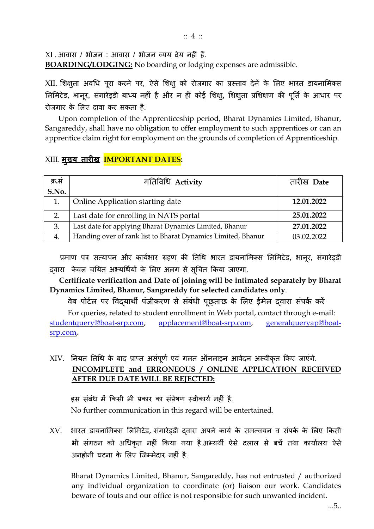:: 4 ::

 $XI$  .  $\frac{3\pi}{100}$  .  $\frac{2\pi}{100}$  /  $\frac{2\pi}{100}$  .  $\frac{2\pi}{100}$  ,  $\frac{2\pi}{100}$  ,  $\frac{2\pi}{100}$  ,  $\frac{2\pi}{100}$  ,  $\frac{2\pi}{100}$  ,  $\frac{2\pi}{100}$  ,  $\frac{2\pi}{100}$  ,  $\frac{2\pi}{100}$  ,  $\frac{2\pi}{100}$  ,  $\frac{2\pi}{100}$  ,  $\frac{2\$ 

**BOARDING/LODGING:** No boarding or lodging expenses are admissible.

XII. शिक्षुता अवधि पूरा करने पर, ऐसे शिक्षु को रोजगार का प्रस्ताव देने के लिए भारत डायनामिक्स लिमिटेड, भानूर, संगारेड़डी बाध्य नहीं है और न ही कोई शिक्षु, शिक्षुता प्रशिक्षण की पूर्ति के आधार पर रोजगार के मिए दावा कर सकता है.

 Upon completion of the Apprenticeship period, Bharat Dynamics Limited, Bhanur, Sangareddy, shall have no obligation to offer employment to such apprentices or can an apprentice claim right for employment on the grounds of completion of Apprenticeship.

## XIII. **िुख्य तारीख IMPORTANT DATES:**

| क्र.सं | गतिविधि Activity                                             | तारीख Date |
|--------|--------------------------------------------------------------|------------|
| S.No.  |                                                              |            |
| 1.     | Online Application starting date                             | 12.01.2022 |
| 2.     | Last date for enrolling in NATS portal                       | 25.01.2022 |
| 3.     | Last date for applying Bharat Dynamics Limited, Bhanur       | 27.01.2022 |
| 4.     | Handing over of rank list to Bharat Dynamics Limited, Bhanur | 03.02.2022 |

प्रमाण पत्र सत्यापन और कार्यभार ग्रहण की तिथि भारत डायनामिक्स लिमिटेड, भानर, संगारेड़डी दवारा केवल चयित अभ्यर्थियों के लिए अलग से सूचित किया जाएगा.

 **Certificate verification and Date of joining will be intimated separately by Bharat Dynamics Limited, Bhanur, Sangareddy for selected candidates only**.

वेब पोर्टल पर विद्यार्थी पंजीकरण से संबंधी पूछ्ताछ के लिए ईमेल दवारा संपर्क करें

For queries, related to student enrollment in Web portal, contact through e-mail: [studentquery@boat-srp.com,](mailto:studentquery@boat-srp.com) [applacement@boat-srp.com,](mailto:applacement@boat-srp.com) [generalqueryap@boat](mailto:generalqueryap@boat-srp.com)[srp.com,](mailto:generalqueryap@boat-srp.com)

# $XIV.$  नियत तिथि के बाद प्राप्त असंपूर्ण एवं गलत ऑनलाइन आवेदन अस्वीकृत किए जाएंगे. **INCOMPLETE and ERRONEOUS / ONLINE APPLICATION RECEIVED AFTER DUE DATE WILL BE REJECTED:**

इस संबंध में किसी भी प्रकार का संप्रेषण स्वीकार्य नहीं है. No further communication in this regard will be entertained.

 $XV$ . भारत डायनामिक्स लिमिटेड, संगारेड्डी दवारा अपने कार्य के समन्वयन व संपर्क के लिए किसी भी संगठन को अधिकृत नहीं किया गया है.अभ्यर्थी ऐसे दलाल से बचें तथा कार्यालय ऐसे अनहोनी घटना के लिए जिम्मेदार नहीं है.

Bharat Dynamics Limited, Bhanur, Sangareddy, has not entrusted / authorized any individual organization to coordinate (or) liaison our work. Candidates beware of touts and our office is not responsible for such unwanted incident.